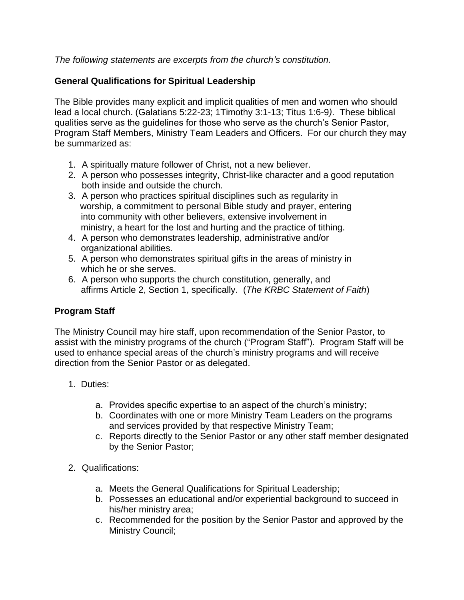*The following statements are excerpts from the church's constitution.* 

## **General Qualifications for Spiritual Leadership**

The Bible provides many explicit and implicit qualities of men and women who should lead a local church. (Galatians 5:22-23; 1Timothy 3:1-13; Titus 1:6-9*)*. These biblical qualities serve as the guidelines for those who serve as the church's Senior Pastor, Program Staff Members, Ministry Team Leaders and Officers. For our church they may be summarized as:

- 1. A spiritually mature follower of Christ, not a new believer.
- 2. A person who possesses integrity, Christ-like character and a good reputation both inside and outside the church.
- 3. A person who practices spiritual disciplines such as regularity in worship, a commitment to personal Bible study and prayer, entering into community with other believers, extensive involvement in ministry, a heart for the lost and hurting and the practice of tithing.
- 4. A person who demonstrates leadership, administrative and/or organizational abilities.
- 5. A person who demonstrates spiritual gifts in the areas of ministry in which he or she serves.
- 6. A person who supports the church constitution, generally, and affirms Article 2, Section 1, specifically. (*The KRBC Statement of Faith*)

## **Program Staff**

The Ministry Council may hire staff, upon recommendation of the Senior Pastor, to assist with the ministry programs of the church ("Program Staff"). Program Staff will be used to enhance special areas of the church's ministry programs and will receive direction from the Senior Pastor or as delegated.

- 1. Duties:
	- a. Provides specific expertise to an aspect of the church's ministry;
	- b. Coordinates with one or more Ministry Team Leaders on the programs and services provided by that respective Ministry Team;
	- c. Reports directly to the Senior Pastor or any other staff member designated by the Senior Pastor;
- 2. Qualifications:
	- a. Meets the General Qualifications for Spiritual Leadership;
	- b. Possesses an educational and/or experiential background to succeed in his/her ministry area;
	- c. Recommended for the position by the Senior Pastor and approved by the Ministry Council;